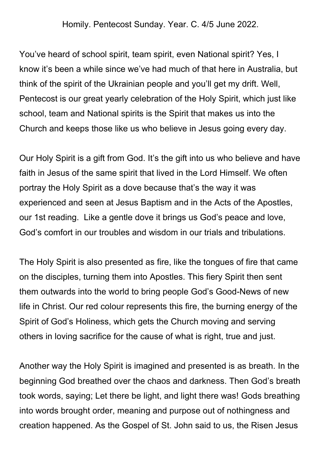Homily. Pentecost Sunday. Year. C. 4/5 June 2022.

You've heard of school spirit, team spirit, even National spirit? Yes, I know it's been a while since we've had much of that here in Australia, but think of the spirit of the Ukrainian people and you'll get my drift. Well, Pentecost is our great yearly celebration of the Holy Spirit, which just like school, team and National spirits is the Spirit that makes us into the Church and keeps those like us who believe in Jesus going every day.

Our Holy Spirit is a gift from God. It's the gift into us who believe and have faith in Jesus of the same spirit that lived in the Lord Himself. We often portray the Holy Spirit as a dove because that's the way it was experienced and seen at Jesus Baptism and in the Acts of the Apostles, our 1st reading. Like a gentle dove it brings us God's peace and love, God's comfort in our troubles and wisdom in our trials and tribulations.

The Holy Spirit is also presented as fire, like the tongues of fire that came on the disciples, turning them into Apostles. This fiery Spirit then sent them outwards into the world to bring people God's Good-News of new life in Christ. Our red colour represents this fire, the burning energy of the Spirit of God's Holiness, which gets the Church moving and serving others in loving sacrifice for the cause of what is right, true and just.

Another way the Holy Spirit is imagined and presented is as breath. In the beginning God breathed over the chaos and darkness. Then God's breath took words, saying; Let there be light, and light there was! Gods breathing into words brought order, meaning and purpose out of nothingness and creation happened. As the Gospel of St. John said to us, the Risen Jesus